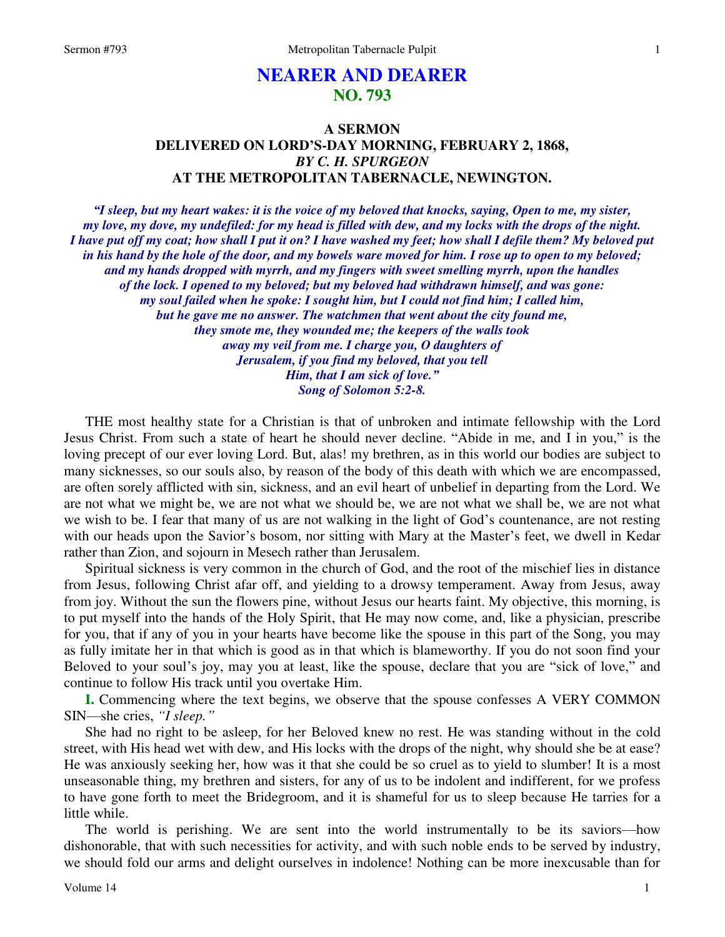# **NEARER AND DEARER NO. 793**

## **A SERMON DELIVERED ON LORD'S-DAY MORNING, FEBRUARY 2, 1868,**  *BY C. H. SPURGEON*  **AT THE METROPOLITAN TABERNACLE, NEWINGTON.**

*"I sleep, but my heart wakes: it is the voice of my beloved that knocks, saying, Open to me, my sister, my love, my dove, my undefiled: for my head is filled with dew, and my locks with the drops of the night. I have put off my coat; how shall I put it on? I have washed my feet; how shall I defile them? My beloved put in his hand by the hole of the door, and my bowels ware moved for him. I rose up to open to my beloved; and my hands dropped with myrrh, and my fingers with sweet smelling myrrh, upon the handles of the lock. I opened to my beloved; but my beloved had withdrawn himself, and was gone: my soul failed when he spoke: I sought him, but I could not find him; I called him, but he gave me no answer. The watchmen that went about the city found me, they smote me, they wounded me; the keepers of the walls took away my veil from me. I charge you, O daughters of Jerusalem, if you find my beloved, that you tell Him, that I am sick of love." Song of Solomon 5:2-8.* 

THE most healthy state for a Christian is that of unbroken and intimate fellowship with the Lord Jesus Christ. From such a state of heart he should never decline. "Abide in me, and I in you," is the loving precept of our ever loving Lord. But, alas! my brethren, as in this world our bodies are subject to many sicknesses, so our souls also, by reason of the body of this death with which we are encompassed, are often sorely afflicted with sin, sickness, and an evil heart of unbelief in departing from the Lord. We are not what we might be, we are not what we should be, we are not what we shall be, we are not what we wish to be. I fear that many of us are not walking in the light of God's countenance, are not resting with our heads upon the Savior's bosom, nor sitting with Mary at the Master's feet, we dwell in Kedar rather than Zion, and sojourn in Mesech rather than Jerusalem.

Spiritual sickness is very common in the church of God, and the root of the mischief lies in distance from Jesus, following Christ afar off, and yielding to a drowsy temperament. Away from Jesus, away from joy. Without the sun the flowers pine, without Jesus our hearts faint. My objective, this morning, is to put myself into the hands of the Holy Spirit, that He may now come, and, like a physician, prescribe for you, that if any of you in your hearts have become like the spouse in this part of the Song, you may as fully imitate her in that which is good as in that which is blameworthy. If you do not soon find your Beloved to your soul's joy, may you at least, like the spouse, declare that you are "sick of love," and continue to follow His track until you overtake Him.

**I.** Commencing where the text begins, we observe that the spouse confesses A VERY COMMON SIN—she cries, *"I sleep."*

She had no right to be asleep, for her Beloved knew no rest. He was standing without in the cold street, with His head wet with dew, and His locks with the drops of the night, why should she be at ease? He was anxiously seeking her, how was it that she could be so cruel as to yield to slumber! It is a most unseasonable thing, my brethren and sisters, for any of us to be indolent and indifferent, for we profess to have gone forth to meet the Bridegroom, and it is shameful for us to sleep because He tarries for a little while.

The world is perishing. We are sent into the world instrumentally to be its saviors—how dishonorable, that with such necessities for activity, and with such noble ends to be served by industry, we should fold our arms and delight ourselves in indolence! Nothing can be more inexcusable than for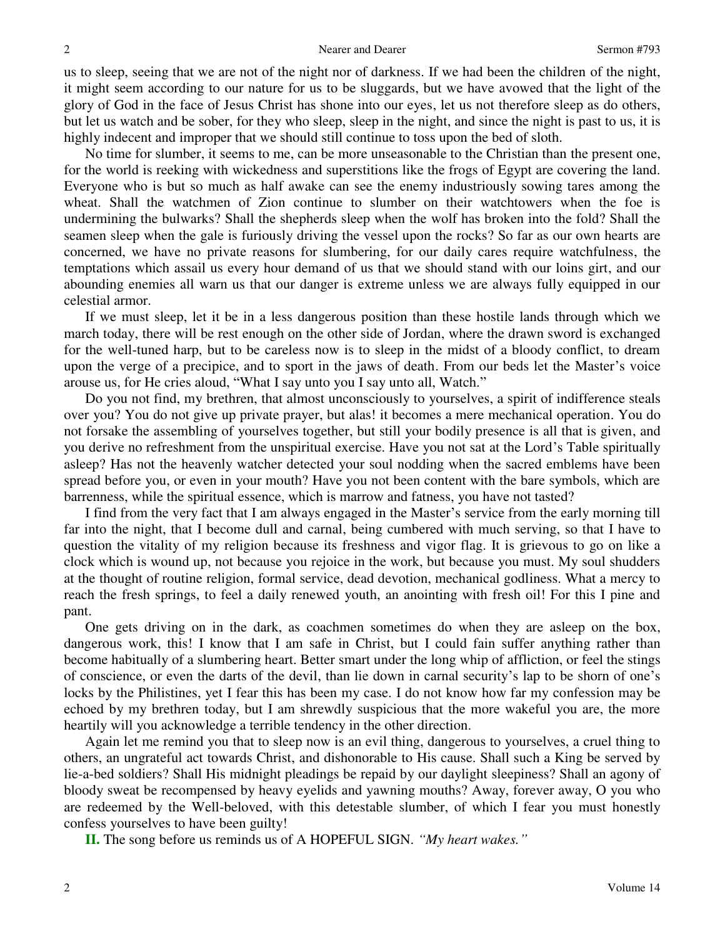us to sleep, seeing that we are not of the night nor of darkness. If we had been the children of the night, it might seem according to our nature for us to be sluggards, but we have avowed that the light of the glory of God in the face of Jesus Christ has shone into our eyes, let us not therefore sleep as do others, but let us watch and be sober, for they who sleep, sleep in the night, and since the night is past to us, it is highly indecent and improper that we should still continue to toss upon the bed of sloth.

No time for slumber, it seems to me, can be more unseasonable to the Christian than the present one, for the world is reeking with wickedness and superstitions like the frogs of Egypt are covering the land. Everyone who is but so much as half awake can see the enemy industriously sowing tares among the wheat. Shall the watchmen of Zion continue to slumber on their watchtowers when the foe is undermining the bulwarks? Shall the shepherds sleep when the wolf has broken into the fold? Shall the seamen sleep when the gale is furiously driving the vessel upon the rocks? So far as our own hearts are concerned, we have no private reasons for slumbering, for our daily cares require watchfulness, the temptations which assail us every hour demand of us that we should stand with our loins girt, and our abounding enemies all warn us that our danger is extreme unless we are always fully equipped in our celestial armor.

If we must sleep, let it be in a less dangerous position than these hostile lands through which we march today, there will be rest enough on the other side of Jordan, where the drawn sword is exchanged for the well-tuned harp, but to be careless now is to sleep in the midst of a bloody conflict, to dream upon the verge of a precipice, and to sport in the jaws of death. From our beds let the Master's voice arouse us, for He cries aloud, "What I say unto you I say unto all, Watch."

Do you not find, my brethren, that almost unconsciously to yourselves, a spirit of indifference steals over you? You do not give up private prayer, but alas! it becomes a mere mechanical operation. You do not forsake the assembling of yourselves together, but still your bodily presence is all that is given, and you derive no refreshment from the unspiritual exercise. Have you not sat at the Lord's Table spiritually asleep? Has not the heavenly watcher detected your soul nodding when the sacred emblems have been spread before you, or even in your mouth? Have you not been content with the bare symbols, which are barrenness, while the spiritual essence, which is marrow and fatness, you have not tasted?

I find from the very fact that I am always engaged in the Master's service from the early morning till far into the night, that I become dull and carnal, being cumbered with much serving, so that I have to question the vitality of my religion because its freshness and vigor flag. It is grievous to go on like a clock which is wound up, not because you rejoice in the work, but because you must. My soul shudders at the thought of routine religion, formal service, dead devotion, mechanical godliness. What a mercy to reach the fresh springs, to feel a daily renewed youth, an anointing with fresh oil! For this I pine and pant.

One gets driving on in the dark, as coachmen sometimes do when they are asleep on the box, dangerous work, this! I know that I am safe in Christ, but I could fain suffer anything rather than become habitually of a slumbering heart. Better smart under the long whip of affliction, or feel the stings of conscience, or even the darts of the devil, than lie down in carnal security's lap to be shorn of one's locks by the Philistines, yet I fear this has been my case. I do not know how far my confession may be echoed by my brethren today, but I am shrewdly suspicious that the more wakeful you are, the more heartily will you acknowledge a terrible tendency in the other direction.

Again let me remind you that to sleep now is an evil thing, dangerous to yourselves, a cruel thing to others, an ungrateful act towards Christ, and dishonorable to His cause. Shall such a King be served by lie-a-bed soldiers? Shall His midnight pleadings be repaid by our daylight sleepiness? Shall an agony of bloody sweat be recompensed by heavy eyelids and yawning mouths? Away, forever away, O you who are redeemed by the Well-beloved, with this detestable slumber, of which I fear you must honestly confess yourselves to have been guilty!

**II.** The song before us reminds us of A HOPEFUL SIGN. *"My heart wakes."*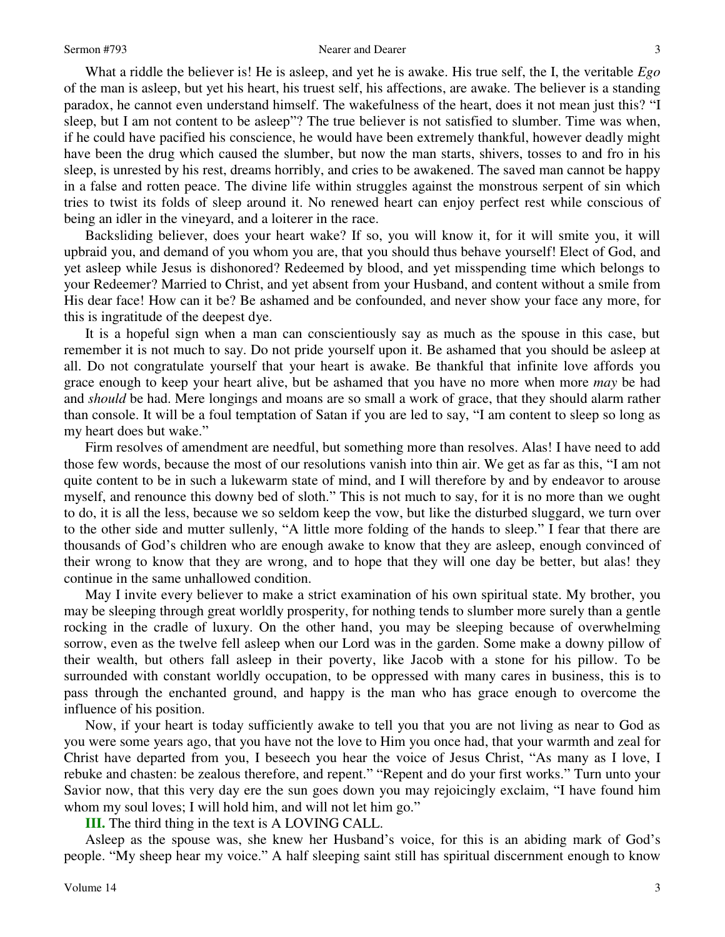What a riddle the believer is! He is asleep, and yet he is awake. His true self, the I, the veritable *Ego* of the man is asleep, but yet his heart, his truest self, his affections, are awake. The believer is a standing paradox, he cannot even understand himself. The wakefulness of the heart, does it not mean just this? "I sleep, but I am not content to be asleep"? The true believer is not satisfied to slumber. Time was when, if he could have pacified his conscience, he would have been extremely thankful, however deadly might have been the drug which caused the slumber, but now the man starts, shivers, tosses to and fro in his sleep, is unrested by his rest, dreams horribly, and cries to be awakened. The saved man cannot be happy in a false and rotten peace. The divine life within struggles against the monstrous serpent of sin which tries to twist its folds of sleep around it. No renewed heart can enjoy perfect rest while conscious of being an idler in the vineyard, and a loiterer in the race.

Backsliding believer, does your heart wake? If so, you will know it, for it will smite you, it will upbraid you, and demand of you whom you are, that you should thus behave yourself! Elect of God, and yet asleep while Jesus is dishonored? Redeemed by blood, and yet misspending time which belongs to your Redeemer? Married to Christ, and yet absent from your Husband, and content without a smile from His dear face! How can it be? Be ashamed and be confounded, and never show your face any more, for this is ingratitude of the deepest dye.

It is a hopeful sign when a man can conscientiously say as much as the spouse in this case, but remember it is not much to say. Do not pride yourself upon it. Be ashamed that you should be asleep at all. Do not congratulate yourself that your heart is awake. Be thankful that infinite love affords you grace enough to keep your heart alive, but be ashamed that you have no more when more *may* be had and *should* be had. Mere longings and moans are so small a work of grace, that they should alarm rather than console. It will be a foul temptation of Satan if you are led to say, "I am content to sleep so long as my heart does but wake."

Firm resolves of amendment are needful, but something more than resolves. Alas! I have need to add those few words, because the most of our resolutions vanish into thin air. We get as far as this, "I am not quite content to be in such a lukewarm state of mind, and I will therefore by and by endeavor to arouse myself, and renounce this downy bed of sloth." This is not much to say, for it is no more than we ought to do, it is all the less, because we so seldom keep the vow, but like the disturbed sluggard, we turn over to the other side and mutter sullenly, "A little more folding of the hands to sleep." I fear that there are thousands of God's children who are enough awake to know that they are asleep, enough convinced of their wrong to know that they are wrong, and to hope that they will one day be better, but alas! they continue in the same unhallowed condition.

May I invite every believer to make a strict examination of his own spiritual state. My brother, you may be sleeping through great worldly prosperity, for nothing tends to slumber more surely than a gentle rocking in the cradle of luxury. On the other hand, you may be sleeping because of overwhelming sorrow, even as the twelve fell asleep when our Lord was in the garden. Some make a downy pillow of their wealth, but others fall asleep in their poverty, like Jacob with a stone for his pillow. To be surrounded with constant worldly occupation, to be oppressed with many cares in business, this is to pass through the enchanted ground, and happy is the man who has grace enough to overcome the influence of his position.

Now, if your heart is today sufficiently awake to tell you that you are not living as near to God as you were some years ago, that you have not the love to Him you once had, that your warmth and zeal for Christ have departed from you, I beseech you hear the voice of Jesus Christ, "As many as I love, I rebuke and chasten: be zealous therefore, and repent." "Repent and do your first works." Turn unto your Savior now, that this very day ere the sun goes down you may rejoicingly exclaim, "I have found him whom my soul loves; I will hold him, and will not let him go."

**III.** The third thing in the text is A LOVING CALL.

Asleep as the spouse was, she knew her Husband's voice, for this is an abiding mark of God's people. "My sheep hear my voice." A half sleeping saint still has spiritual discernment enough to know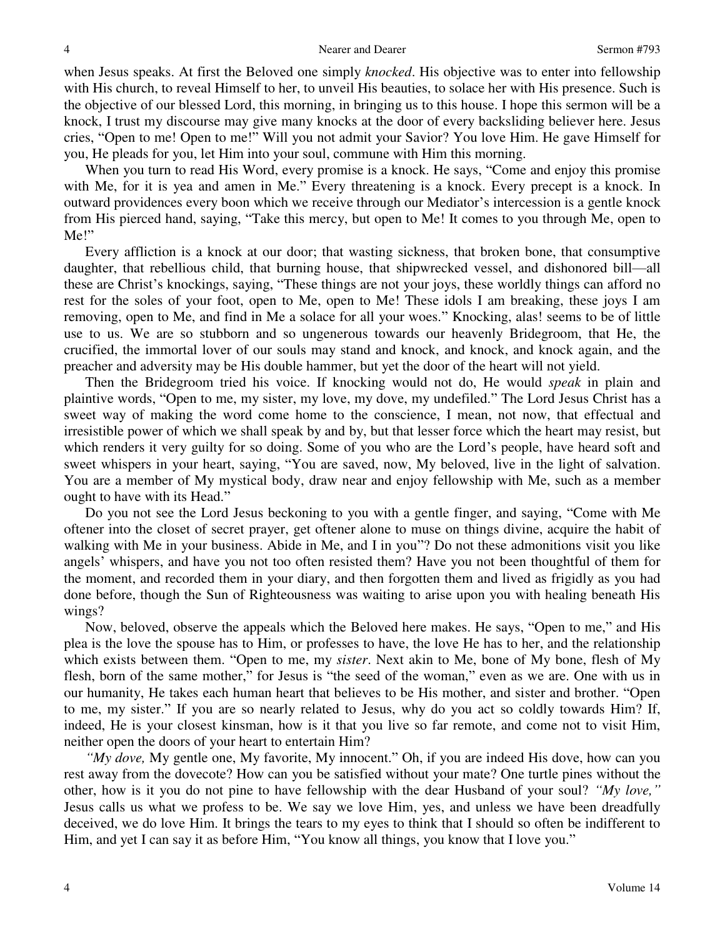when Jesus speaks. At first the Beloved one simply *knocked*. His objective was to enter into fellowship with His church, to reveal Himself to her, to unveil His beauties, to solace her with His presence. Such is the objective of our blessed Lord, this morning, in bringing us to this house. I hope this sermon will be a knock, I trust my discourse may give many knocks at the door of every backsliding believer here. Jesus cries, "Open to me! Open to me!" Will you not admit your Savior? You love Him. He gave Himself for you, He pleads for you, let Him into your soul, commune with Him this morning.

When you turn to read His Word, every promise is a knock. He says, "Come and enjoy this promise with Me, for it is yea and amen in Me." Every threatening is a knock. Every precept is a knock. In outward providences every boon which we receive through our Mediator's intercession is a gentle knock from His pierced hand, saying, "Take this mercy, but open to Me! It comes to you through Me, open to Me!"

Every affliction is a knock at our door; that wasting sickness, that broken bone, that consumptive daughter, that rebellious child, that burning house, that shipwrecked vessel, and dishonored bill—all these are Christ's knockings, saying, "These things are not your joys, these worldly things can afford no rest for the soles of your foot, open to Me, open to Me! These idols I am breaking, these joys I am removing, open to Me, and find in Me a solace for all your woes." Knocking, alas! seems to be of little use to us. We are so stubborn and so ungenerous towards our heavenly Bridegroom, that He, the crucified, the immortal lover of our souls may stand and knock, and knock, and knock again, and the preacher and adversity may be His double hammer, but yet the door of the heart will not yield.

Then the Bridegroom tried his voice. If knocking would not do, He would *speak* in plain and plaintive words, "Open to me, my sister, my love, my dove, my undefiled." The Lord Jesus Christ has a sweet way of making the word come home to the conscience, I mean, not now, that effectual and irresistible power of which we shall speak by and by, but that lesser force which the heart may resist, but which renders it very guilty for so doing. Some of you who are the Lord's people, have heard soft and sweet whispers in your heart, saying, "You are saved, now, My beloved, live in the light of salvation. You are a member of My mystical body, draw near and enjoy fellowship with Me, such as a member ought to have with its Head."

Do you not see the Lord Jesus beckoning to you with a gentle finger, and saying, "Come with Me oftener into the closet of secret prayer, get oftener alone to muse on things divine, acquire the habit of walking with Me in your business. Abide in Me, and I in you"? Do not these admonitions visit you like angels' whispers, and have you not too often resisted them? Have you not been thoughtful of them for the moment, and recorded them in your diary, and then forgotten them and lived as frigidly as you had done before, though the Sun of Righteousness was waiting to arise upon you with healing beneath His wings?

Now, beloved, observe the appeals which the Beloved here makes. He says, "Open to me," and His plea is the love the spouse has to Him, or professes to have, the love He has to her, and the relationship which exists between them. "Open to me, my *sister*. Next akin to Me, bone of My bone, flesh of My flesh, born of the same mother," for Jesus is "the seed of the woman," even as we are. One with us in our humanity, He takes each human heart that believes to be His mother, and sister and brother. "Open to me, my sister." If you are so nearly related to Jesus, why do you act so coldly towards Him? If, indeed, He is your closest kinsman, how is it that you live so far remote, and come not to visit Him, neither open the doors of your heart to entertain Him?

*"My dove,* My gentle one, My favorite, My innocent." Oh, if you are indeed His dove, how can you rest away from the dovecote? How can you be satisfied without your mate? One turtle pines without the other, how is it you do not pine to have fellowship with the dear Husband of your soul? *"My love,"* Jesus calls us what we profess to be. We say we love Him, yes, and unless we have been dreadfully deceived, we do love Him. It brings the tears to my eyes to think that I should so often be indifferent to Him, and yet I can say it as before Him, "You know all things, you know that I love you."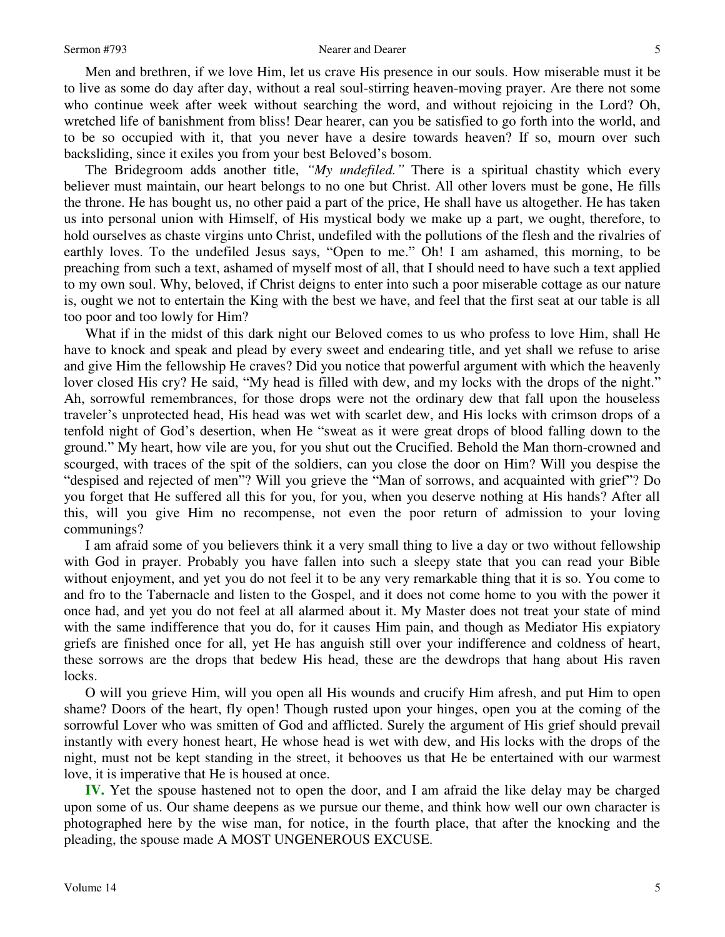Men and brethren, if we love Him, let us crave His presence in our souls. How miserable must it be to live as some do day after day, without a real soul-stirring heaven-moving prayer. Are there not some who continue week after week without searching the word, and without rejoicing in the Lord? Oh, wretched life of banishment from bliss! Dear hearer, can you be satisfied to go forth into the world, and to be so occupied with it, that you never have a desire towards heaven? If so, mourn over such backsliding, since it exiles you from your best Beloved's bosom.

The Bridegroom adds another title, *"My undefiled."* There is a spiritual chastity which every believer must maintain, our heart belongs to no one but Christ. All other lovers must be gone, He fills the throne. He has bought us, no other paid a part of the price, He shall have us altogether. He has taken us into personal union with Himself, of His mystical body we make up a part, we ought, therefore, to hold ourselves as chaste virgins unto Christ, undefiled with the pollutions of the flesh and the rivalries of earthly loves. To the undefiled Jesus says, "Open to me." Oh! I am ashamed, this morning, to be preaching from such a text, ashamed of myself most of all, that I should need to have such a text applied to my own soul. Why, beloved, if Christ deigns to enter into such a poor miserable cottage as our nature is, ought we not to entertain the King with the best we have, and feel that the first seat at our table is all too poor and too lowly for Him?

What if in the midst of this dark night our Beloved comes to us who profess to love Him, shall He have to knock and speak and plead by every sweet and endearing title, and yet shall we refuse to arise and give Him the fellowship He craves? Did you notice that powerful argument with which the heavenly lover closed His cry? He said, "My head is filled with dew, and my locks with the drops of the night." Ah, sorrowful remembrances, for those drops were not the ordinary dew that fall upon the houseless traveler's unprotected head, His head was wet with scarlet dew, and His locks with crimson drops of a tenfold night of God's desertion, when He "sweat as it were great drops of blood falling down to the ground." My heart, how vile are you, for you shut out the Crucified. Behold the Man thorn-crowned and scourged, with traces of the spit of the soldiers, can you close the door on Him? Will you despise the "despised and rejected of men"? Will you grieve the "Man of sorrows, and acquainted with grief"? Do you forget that He suffered all this for you, for you, when you deserve nothing at His hands? After all this, will you give Him no recompense, not even the poor return of admission to your loving communings?

I am afraid some of you believers think it a very small thing to live a day or two without fellowship with God in prayer. Probably you have fallen into such a sleepy state that you can read your Bible without enjoyment, and yet you do not feel it to be any very remarkable thing that it is so. You come to and fro to the Tabernacle and listen to the Gospel, and it does not come home to you with the power it once had, and yet you do not feel at all alarmed about it. My Master does not treat your state of mind with the same indifference that you do, for it causes Him pain, and though as Mediator His expiatory griefs are finished once for all, yet He has anguish still over your indifference and coldness of heart, these sorrows are the drops that bedew His head, these are the dewdrops that hang about His raven locks.

O will you grieve Him, will you open all His wounds and crucify Him afresh, and put Him to open shame? Doors of the heart, fly open! Though rusted upon your hinges, open you at the coming of the sorrowful Lover who was smitten of God and afflicted. Surely the argument of His grief should prevail instantly with every honest heart, He whose head is wet with dew, and His locks with the drops of the night, must not be kept standing in the street, it behooves us that He be entertained with our warmest love, it is imperative that He is housed at once.

**IV.** Yet the spouse hastened not to open the door, and I am afraid the like delay may be charged upon some of us. Our shame deepens as we pursue our theme, and think how well our own character is photographed here by the wise man, for notice, in the fourth place, that after the knocking and the pleading, the spouse made A MOST UNGENEROUS EXCUSE.

5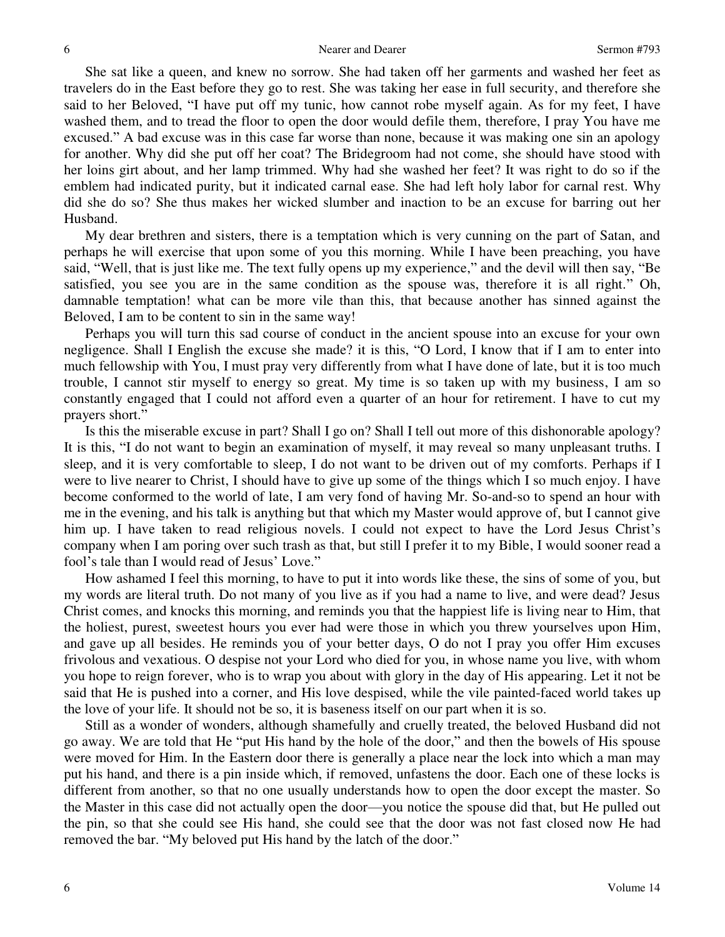She sat like a queen, and knew no sorrow. She had taken off her garments and washed her feet as travelers do in the East before they go to rest. She was taking her ease in full security, and therefore she said to her Beloved, "I have put off my tunic, how cannot robe myself again. As for my feet, I have washed them, and to tread the floor to open the door would defile them, therefore, I pray You have me excused." A bad excuse was in this case far worse than none, because it was making one sin an apology for another. Why did she put off her coat? The Bridegroom had not come, she should have stood with her loins girt about, and her lamp trimmed. Why had she washed her feet? It was right to do so if the emblem had indicated purity, but it indicated carnal ease. She had left holy labor for carnal rest. Why did she do so? She thus makes her wicked slumber and inaction to be an excuse for barring out her Husband.

My dear brethren and sisters, there is a temptation which is very cunning on the part of Satan, and perhaps he will exercise that upon some of you this morning. While I have been preaching, you have said, "Well, that is just like me. The text fully opens up my experience," and the devil will then say, "Be satisfied, you see you are in the same condition as the spouse was, therefore it is all right." Oh, damnable temptation! what can be more vile than this, that because another has sinned against the Beloved, I am to be content to sin in the same way!

Perhaps you will turn this sad course of conduct in the ancient spouse into an excuse for your own negligence. Shall I English the excuse she made? it is this, "O Lord, I know that if I am to enter into much fellowship with You, I must pray very differently from what I have done of late, but it is too much trouble, I cannot stir myself to energy so great. My time is so taken up with my business, I am so constantly engaged that I could not afford even a quarter of an hour for retirement. I have to cut my prayers short."

Is this the miserable excuse in part? Shall I go on? Shall I tell out more of this dishonorable apology? It is this, "I do not want to begin an examination of myself, it may reveal so many unpleasant truths. I sleep, and it is very comfortable to sleep, I do not want to be driven out of my comforts. Perhaps if I were to live nearer to Christ, I should have to give up some of the things which I so much enjoy. I have become conformed to the world of late, I am very fond of having Mr. So-and-so to spend an hour with me in the evening, and his talk is anything but that which my Master would approve of, but I cannot give him up. I have taken to read religious novels. I could not expect to have the Lord Jesus Christ's company when I am poring over such trash as that, but still I prefer it to my Bible, I would sooner read a fool's tale than I would read of Jesus' Love."

How ashamed I feel this morning, to have to put it into words like these, the sins of some of you, but my words are literal truth. Do not many of you live as if you had a name to live, and were dead? Jesus Christ comes, and knocks this morning, and reminds you that the happiest life is living near to Him, that the holiest, purest, sweetest hours you ever had were those in which you threw yourselves upon Him, and gave up all besides. He reminds you of your better days, O do not I pray you offer Him excuses frivolous and vexatious. O despise not your Lord who died for you, in whose name you live, with whom you hope to reign forever, who is to wrap you about with glory in the day of His appearing. Let it not be said that He is pushed into a corner, and His love despised, while the vile painted-faced world takes up the love of your life. It should not be so, it is baseness itself on our part when it is so.

Still as a wonder of wonders, although shamefully and cruelly treated, the beloved Husband did not go away. We are told that He "put His hand by the hole of the door," and then the bowels of His spouse were moved for Him. In the Eastern door there is generally a place near the lock into which a man may put his hand, and there is a pin inside which, if removed, unfastens the door. Each one of these locks is different from another, so that no one usually understands how to open the door except the master. So the Master in this case did not actually open the door—you notice the spouse did that, but He pulled out the pin, so that she could see His hand, she could see that the door was not fast closed now He had removed the bar. "My beloved put His hand by the latch of the door."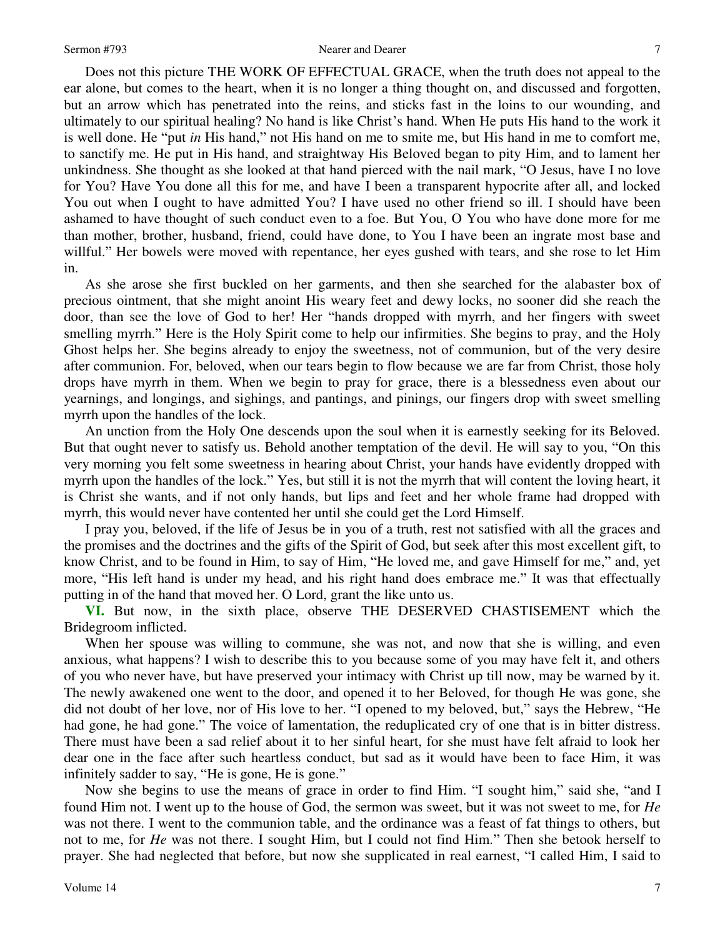Does not this picture THE WORK OF EFFECTUAL GRACE, when the truth does not appeal to the ear alone, but comes to the heart, when it is no longer a thing thought on, and discussed and forgotten, but an arrow which has penetrated into the reins, and sticks fast in the loins to our wounding, and ultimately to our spiritual healing? No hand is like Christ's hand. When He puts His hand to the work it is well done. He "put *in* His hand," not His hand on me to smite me, but His hand in me to comfort me, to sanctify me. He put in His hand, and straightway His Beloved began to pity Him, and to lament her unkindness. She thought as she looked at that hand pierced with the nail mark, "O Jesus, have I no love for You? Have You done all this for me, and have I been a transparent hypocrite after all, and locked You out when I ought to have admitted You? I have used no other friend so ill. I should have been ashamed to have thought of such conduct even to a foe. But You, O You who have done more for me than mother, brother, husband, friend, could have done, to You I have been an ingrate most base and willful." Her bowels were moved with repentance, her eyes gushed with tears, and she rose to let Him in.

As she arose she first buckled on her garments, and then she searched for the alabaster box of precious ointment, that she might anoint His weary feet and dewy locks, no sooner did she reach the door, than see the love of God to her! Her "hands dropped with myrrh, and her fingers with sweet smelling myrrh." Here is the Holy Spirit come to help our infirmities. She begins to pray, and the Holy Ghost helps her. She begins already to enjoy the sweetness, not of communion, but of the very desire after communion. For, beloved, when our tears begin to flow because we are far from Christ, those holy drops have myrrh in them. When we begin to pray for grace, there is a blessedness even about our yearnings, and longings, and sighings, and pantings, and pinings, our fingers drop with sweet smelling myrrh upon the handles of the lock.

An unction from the Holy One descends upon the soul when it is earnestly seeking for its Beloved. But that ought never to satisfy us. Behold another temptation of the devil. He will say to you, "On this very morning you felt some sweetness in hearing about Christ, your hands have evidently dropped with myrrh upon the handles of the lock." Yes, but still it is not the myrrh that will content the loving heart, it is Christ she wants, and if not only hands, but lips and feet and her whole frame had dropped with myrrh, this would never have contented her until she could get the Lord Himself.

I pray you, beloved, if the life of Jesus be in you of a truth, rest not satisfied with all the graces and the promises and the doctrines and the gifts of the Spirit of God, but seek after this most excellent gift, to know Christ, and to be found in Him, to say of Him, "He loved me, and gave Himself for me," and, yet more, "His left hand is under my head, and his right hand does embrace me." It was that effectually putting in of the hand that moved her. O Lord, grant the like unto us.

**VI.** But now, in the sixth place, observe THE DESERVED CHASTISEMENT which the Bridegroom inflicted.

When her spouse was willing to commune, she was not, and now that she is willing, and even anxious, what happens? I wish to describe this to you because some of you may have felt it, and others of you who never have, but have preserved your intimacy with Christ up till now, may be warned by it. The newly awakened one went to the door, and opened it to her Beloved, for though He was gone, she did not doubt of her love, nor of His love to her. "I opened to my beloved, but," says the Hebrew, "He had gone, he had gone." The voice of lamentation, the reduplicated cry of one that is in bitter distress. There must have been a sad relief about it to her sinful heart, for she must have felt afraid to look her dear one in the face after such heartless conduct, but sad as it would have been to face Him, it was infinitely sadder to say, "He is gone, He is gone."

Now she begins to use the means of grace in order to find Him. "I sought him," said she, "and I found Him not. I went up to the house of God, the sermon was sweet, but it was not sweet to me, for *He* was not there. I went to the communion table, and the ordinance was a feast of fat things to others, but not to me, for *He* was not there. I sought Him, but I could not find Him." Then she betook herself to prayer. She had neglected that before, but now she supplicated in real earnest, "I called Him, I said to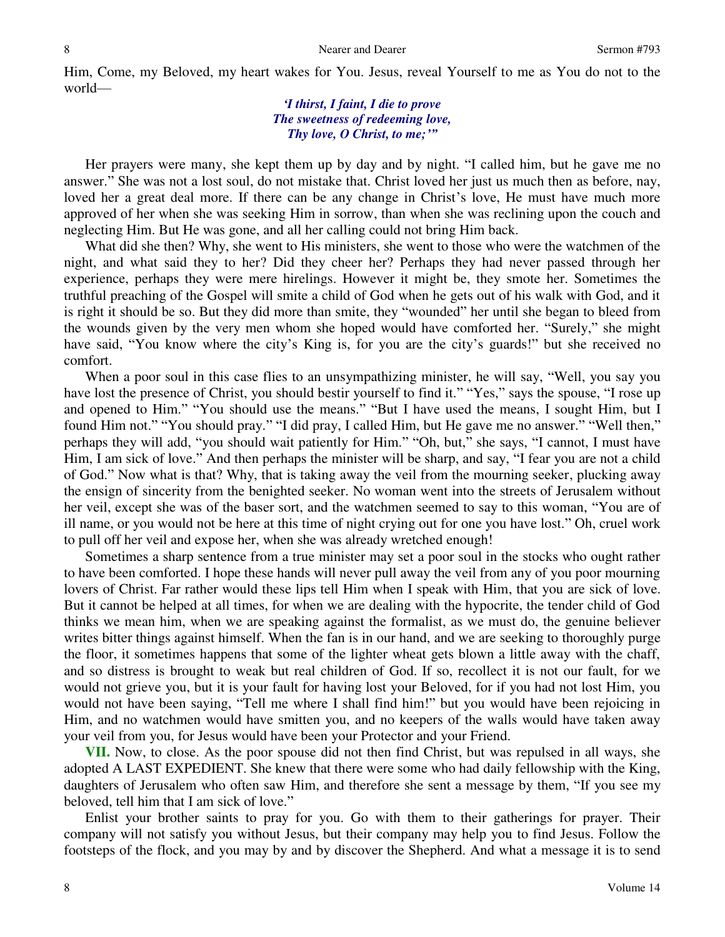Him, Come, my Beloved, my heart wakes for You. Jesus, reveal Yourself to me as You do not to the world—

### *'I thirst, I faint, I die to prove The sweetness of redeeming love, Thy love, O Christ, to me;'"*

Her prayers were many, she kept them up by day and by night. "I called him, but he gave me no answer." She was not a lost soul, do not mistake that. Christ loved her just us much then as before, nay, loved her a great deal more. If there can be any change in Christ's love, He must have much more approved of her when she was seeking Him in sorrow, than when she was reclining upon the couch and neglecting Him. But He was gone, and all her calling could not bring Him back.

What did she then? Why, she went to His ministers, she went to those who were the watchmen of the night, and what said they to her? Did they cheer her? Perhaps they had never passed through her experience, perhaps they were mere hirelings. However it might be, they smote her. Sometimes the truthful preaching of the Gospel will smite a child of God when he gets out of his walk with God, and it is right it should be so. But they did more than smite, they "wounded" her until she began to bleed from the wounds given by the very men whom she hoped would have comforted her. "Surely," she might have said, "You know where the city's King is, for you are the city's guards!" but she received no comfort.

When a poor soul in this case flies to an unsympathizing minister, he will say, "Well, you say you have lost the presence of Christ, you should bestir yourself to find it." "Yes," says the spouse, "I rose up and opened to Him." "You should use the means." "But I have used the means, I sought Him, but I found Him not." "You should pray." "I did pray, I called Him, but He gave me no answer." "Well then," perhaps they will add, "you should wait patiently for Him." "Oh, but," she says, "I cannot, I must have Him, I am sick of love." And then perhaps the minister will be sharp, and say, "I fear you are not a child of God." Now what is that? Why, that is taking away the veil from the mourning seeker, plucking away the ensign of sincerity from the benighted seeker. No woman went into the streets of Jerusalem without her veil, except she was of the baser sort, and the watchmen seemed to say to this woman, "You are of ill name, or you would not be here at this time of night crying out for one you have lost." Oh, cruel work to pull off her veil and expose her, when she was already wretched enough!

Sometimes a sharp sentence from a true minister may set a poor soul in the stocks who ought rather to have been comforted. I hope these hands will never pull away the veil from any of you poor mourning lovers of Christ. Far rather would these lips tell Him when I speak with Him, that you are sick of love. But it cannot be helped at all times, for when we are dealing with the hypocrite, the tender child of God thinks we mean him, when we are speaking against the formalist, as we must do, the genuine believer writes bitter things against himself. When the fan is in our hand, and we are seeking to thoroughly purge the floor, it sometimes happens that some of the lighter wheat gets blown a little away with the chaff, and so distress is brought to weak but real children of God. If so, recollect it is not our fault, for we would not grieve you, but it is your fault for having lost your Beloved, for if you had not lost Him, you would not have been saying, "Tell me where I shall find him!" but you would have been rejoicing in Him, and no watchmen would have smitten you, and no keepers of the walls would have taken away your veil from you, for Jesus would have been your Protector and your Friend.

**VII.** Now, to close. As the poor spouse did not then find Christ, but was repulsed in all ways, she adopted A LAST EXPEDIENT. She knew that there were some who had daily fellowship with the King, daughters of Jerusalem who often saw Him, and therefore she sent a message by them, "If you see my beloved, tell him that I am sick of love."

Enlist your brother saints to pray for you. Go with them to their gatherings for prayer. Their company will not satisfy you without Jesus, but their company may help you to find Jesus. Follow the footsteps of the flock, and you may by and by discover the Shepherd. And what a message it is to send